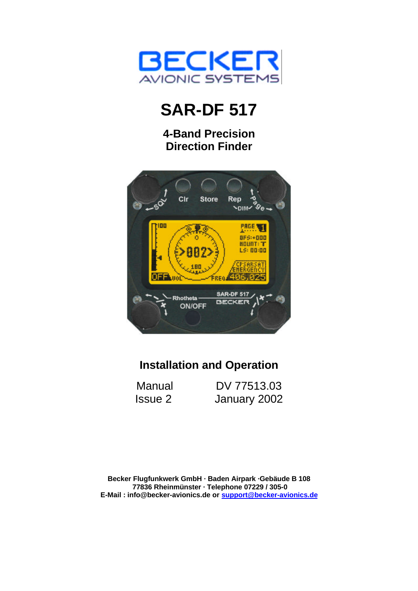

# **SAR-DF 517**

**4-Band Precision Direction Finder**



### **Installation and Operation**

Manual DV 77513.03 Issue 2 January 2002

**Becker Flugfunkwerk GmbH · Baden Airpark ·Gebäude B 108 77836 Rheinmünster · Telephone 07229 / 305-0 E-Mail : info@becker-avionics.de or support@becker-avionics.de**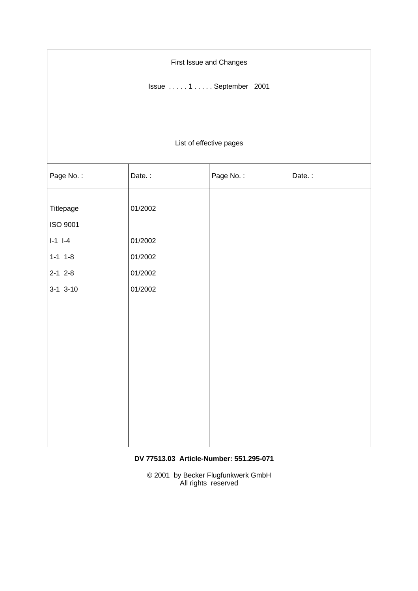| First Issue and Changes |                        |                         |        |
|-------------------------|------------------------|-------------------------|--------|
|                         | Issue 1 September 2001 |                         |        |
|                         |                        |                         |        |
|                         |                        | List of effective pages |        |
|                         |                        |                         |        |
| Page No.:               | Date.:                 | Page No.:               | Date.: |
| Titlepage               | 01/2002                |                         |        |
| ISO 9001                |                        |                         |        |
| $I-1$ $I-4$             | 01/2002                |                         |        |
| $1-1$ 1-8               | 01/2002                |                         |        |
| $2-1$ $2-8$             | 01/2002                |                         |        |
| $3-1$ $3-10$            | 01/2002                |                         |        |
|                         |                        |                         |        |
|                         |                        |                         |        |
|                         |                        |                         |        |
|                         |                        |                         |        |
|                         |                        |                         |        |
|                         |                        |                         |        |
|                         |                        |                         |        |
|                         |                        |                         |        |
|                         |                        |                         |        |

#### **DV 77513.03 Article-Number: 551.295-071**

© 2001 by Becker Flugfunkwerk GmbH All rights reserved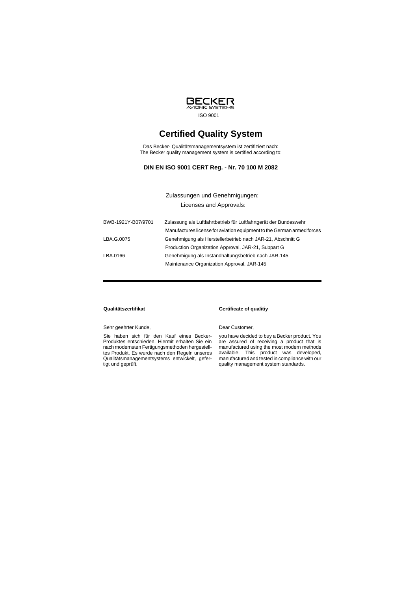#### **Qualitätszertifikat**

Sehr geehrter Kunde,

Sie haben sich für den Kauf eines Becker-Produktes entschieden. Hiermit erhalten Sie ein nach modernsten Fertigungsmethoden hergestelltes Produkt. Es wurde nach den Regeln unseres Qualitätsmanagementsystems entwickelt, gefertigt und geprüft.

**Certificate of qualitiy** 

Dear Customer,

you have decided to buy a Becker product. You are assured of receiving a product that is manufactured using the most modern methods available. This product was developed, manufactured and tested in compliance with our quality management system standards.



## **Certified Quality System**

Das Becker- Qualitätsmanagementsystem ist zertifiziert nach: The Becker quality management system is certified according to:

#### **DIN EN ISO 9001 CERT Reg. - Nr. 70 100 M 2082**

Zulassungen und Genehmigungen: Licenses and Approvals:

| BWB-1921Y-B07/9701 | Zulassung als Luftfahrtbetrieb für Luftfahrtgerät der Bundeswehr       |  |
|--------------------|------------------------------------------------------------------------|--|
|                    | Manufactures license for aviation equipment to the German armed forces |  |
| LBA.G.0075         | Genehmigung als Herstellerbetrieb nach JAR-21, Abschnitt G             |  |
|                    | Production Organization Approval, JAR-21, Subpart G                    |  |
| LBA.0166           | Genehmigung als Instandhaltungsbetrieb nach JAR-145                    |  |
|                    | Maintenance Organization Approval, JAR-145                             |  |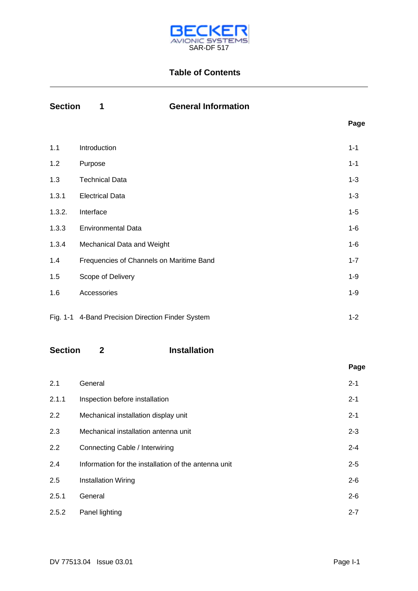

#### **Table of Contents**

| <b>Section</b> | <b>General Information</b><br>1                   |         |
|----------------|---------------------------------------------------|---------|
|                |                                                   | Page    |
| 1.1            | Introduction                                      | $1 - 1$ |
| 1.2            | Purpose                                           | $1 - 1$ |
| 1.3            | <b>Technical Data</b>                             | $1 - 3$ |
| 1.3.1          | <b>Electrical Data</b>                            | $1 - 3$ |
| 1.3.2.         | Interface                                         | $1 - 5$ |
| 1.3.3          | <b>Environmental Data</b>                         | $1 - 6$ |
| 1.3.4          | Mechanical Data and Weight                        | $1 - 6$ |
| 1.4            | Frequencies of Channels on Maritime Band          | $1 - 7$ |
| 1.5            | Scope of Delivery                                 | $1 - 9$ |
| 1.6            | Accessories                                       | $1 - 9$ |
|                | Fig. 1-1 4-Band Precision Direction Finder System | $1 - 2$ |

**Section 2 Installation**

**Page** 2.1 General 2-1 2.1.1 Inspection before installation 2-1 2.2 Mechanical installation display unit 2-1 2.3 Mechanical installation antenna unit 2-3 2.2 Connecting Cable / Interwiring 2-4 2.4 Information for the installation of the antenna unit 2-5 2.5 Installation Wiring 2-6 2.5.1 General 2-6 2.5.2 Panel lighting 2-7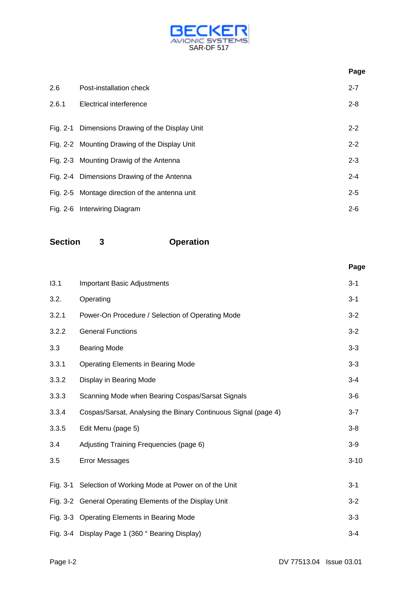

|       |                                                 | Page    |
|-------|-------------------------------------------------|---------|
| 2.6   | Post-installation check                         | $2 - 7$ |
| 2.6.1 | Electrical interference                         | $2 - 8$ |
|       | Fig. 2-1 Dimensions Drawing of the Display Unit | $2 - 2$ |
|       | Fig. 2-2 Mounting Drawing of the Display Unit   | $2 - 2$ |
|       | Fig. 2-3 Mounting Drawig of the Antenna         | $2 - 3$ |
|       | Fig. 2-4 Dimensions Drawing of the Antenna      | $2 - 4$ |
|       | Fig. 2-5 Montage direction of the antenna unit  | $2 - 5$ |
|       | Fig. 2-6 Interwiring Diagram                    | $2 - 6$ |

| <b>Section</b> | <b>Operation</b> |
|----------------|------------------|
|----------------|------------------|

|       |                                                                | Page     |
|-------|----------------------------------------------------------------|----------|
| 13.1  | <b>Important Basic Adjustments</b>                             | $3 - 1$  |
| 3.2.  | Operating                                                      | $3-1$    |
| 3.2.1 | Power-On Procedure / Selection of Operating Mode               | $3 - 2$  |
| 3.2.2 | <b>General Functions</b>                                       | $3 - 2$  |
| 3.3   | <b>Bearing Mode</b>                                            | $3-3$    |
| 3.3.1 | <b>Operating Elements in Bearing Mode</b>                      | $3-3$    |
| 3.3.2 | Display in Bearing Mode                                        | $3 - 4$  |
| 3.3.3 | Scanning Mode when Bearing Cospas/Sarsat Signals               | $3-6$    |
| 3.3.4 | Cospas/Sarsat, Analysing the Binary Continuous Signal (page 4) | $3 - 7$  |
| 3.3.5 | Edit Menu (page 5)                                             | $3 - 8$  |
| 3.4   | Adjusting Training Frequencies (page 6)                        | $3-9$    |
| 3.5   | <b>Error Messages</b>                                          | $3 - 10$ |
|       | Fig. 3-1 Selection of Working Mode at Power on of the Unit     | $3 - 1$  |
|       |                                                                |          |
|       | Fig. 3-2 General Operating Elements of the Display Unit        | $3 - 2$  |
|       | Fig. 3-3 Operating Elements in Bearing Mode                    | $3 - 3$  |
|       | Fig. 3-4 Display Page 1 (360 ° Bearing Display)                | $3 - 4$  |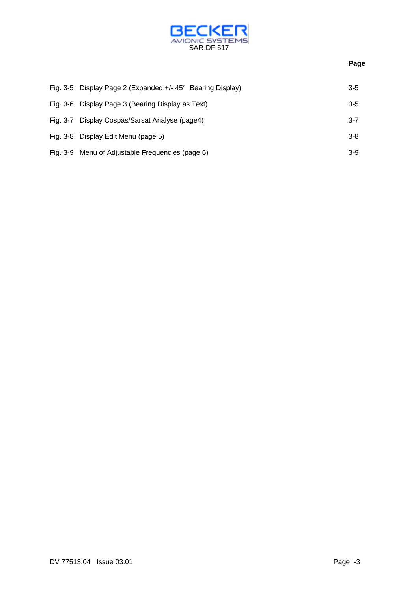

#### **Page**

| Fig. 3-5 Display Page 2 (Expanded $+/- 45^{\circ}$ Bearing Display) | $3-5$   |
|---------------------------------------------------------------------|---------|
| Fig. 3-6 Display Page 3 (Bearing Display as Text)                   | $3-5$   |
| Fig. 3-7 Display Cospas/Sarsat Analyse (page4)                      | $3 - 7$ |
| Fig. 3-8 Display Edit Menu (page 5)                                 | $3 - 8$ |
| Fig. 3-9 Menu of Adjustable Frequencies (page 6)                    | $3-9$   |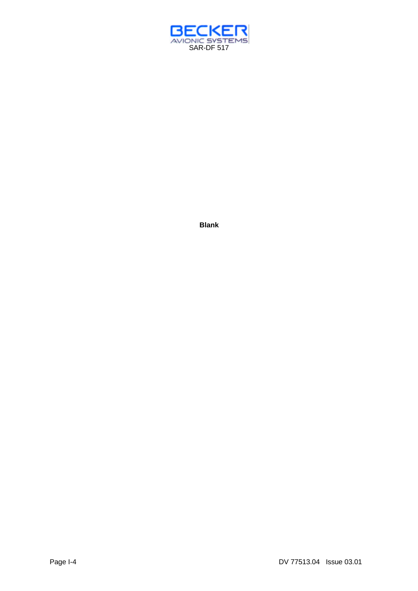

**Blank**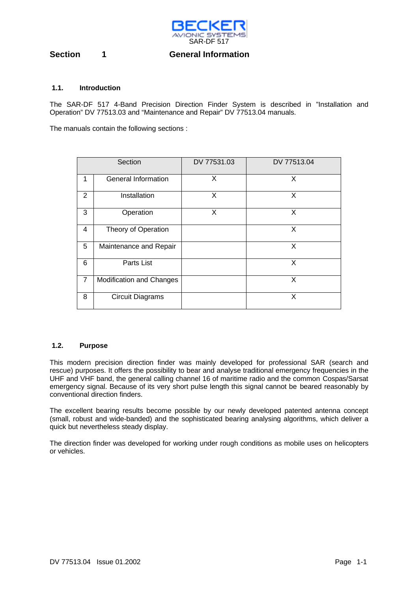

### **Section 1 General Information**

#### **1.1. Introduction**

The SAR-DF 517 4-Band Precision Direction Finder System is described in "Installation and Operation" DV 77513.03 and "Maintenance and Repair" DV 77513.04 manuals.

The manuals contain the following sections :

|                | Section                  | DV 77531.03 | DV 77513.04 |
|----------------|--------------------------|-------------|-------------|
| 1              | General Information      | X           | X           |
| $\overline{2}$ | Installation             | X           | X           |
| 3              | Operation                | X           | X           |
| $\overline{4}$ | Theory of Operation      |             | X           |
| 5              | Maintenance and Repair   |             | X           |
| 6              | Parts List               |             | X           |
| $\overline{7}$ | Modification and Changes |             | X           |
| 8              | <b>Circuit Diagrams</b>  |             | Χ           |

#### **1.2. Purpose**

This modern precision direction finder was mainly developed for professional SAR (search and rescue) purposes. It offers the possibility to bear and analyse traditional emergency frequencies in the UHF and VHF band, the general calling channel 16 of maritime radio and the common Cospas/Sarsat emergency signal. Because of its very short pulse length this signal cannot be beared reasonably by conventional direction finders.

The excellent bearing results become possible by our newly developed patented antenna concept (small, robust and wide-banded) and the sophisticated bearing analysing algorithms, which deliver a quick but nevertheless steady display.

The direction finder was developed for working under rough conditions as mobile uses on helicopters or vehicles.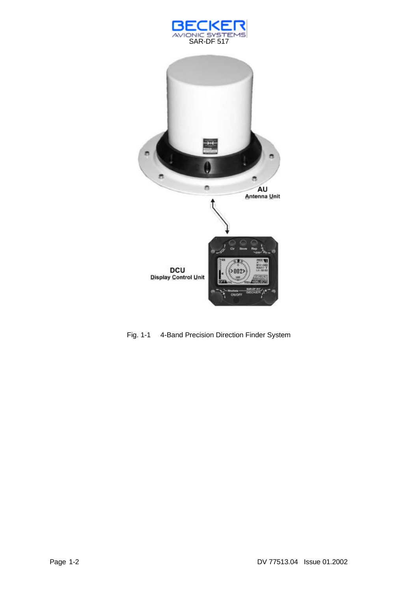



Fig. 1-1 4-Band Precision Direction Finder System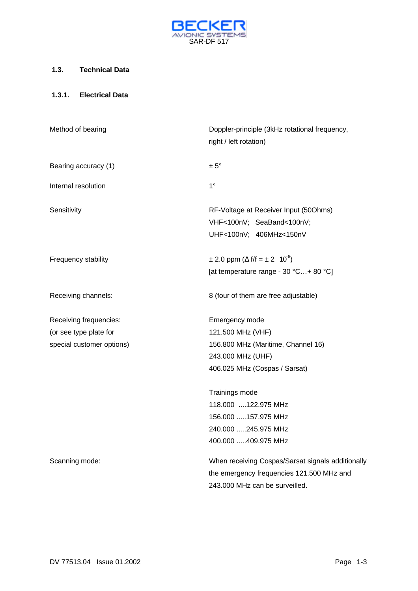

#### **1.3. Technical Data**

#### **1.3.1. Electrical Data**

| Method of bearing         | Doppler-principle (3kHz rotational frequency,           |
|---------------------------|---------------------------------------------------------|
|                           | right / left rotation)                                  |
| Bearing accuracy (1)      | $± 5^{\circ}$                                           |
| Internal resolution       | $1^{\circ}$                                             |
| Sensitivity               | RF-Voltage at Receiver Input (50Ohms)                   |
|                           | VHF<100nV; SeaBand<100nV;                               |
|                           | UHF<100nV; 406MHz<150nV                                 |
| Frequency stability       | $\pm 2.0$ ppm ( $\Delta f/f = \pm 2$ 10 <sup>-6</sup> ) |
|                           | [at temperature range - 30 °C+ 80 °C]                   |
| Receiving channels:       | 8 (four of them are free adjustable)                    |
| Receiving frequencies:    | Emergency mode                                          |
| (or see type plate for    | 121.500 MHz (VHF)                                       |
| special customer options) | 156.800 MHz (Maritime, Channel 16)                      |
|                           | 243.000 MHz (UHF)                                       |
|                           | 406.025 MHz (Cospas / Sarsat)                           |
|                           | Trainings mode                                          |
|                           | 118.000  122.975 MHz                                    |
|                           | 156.000  157.975 MHz                                    |
|                           | 240.000 245.975 MHz                                     |
|                           | 400.000  409.975 MHz                                    |
| Scanning mode:            | When receiving Cospas/Sarsat signals additionally       |
|                           | the emergency frequencies 121.500 MHz and               |
|                           | 243.000 MHz can be surveilled.                          |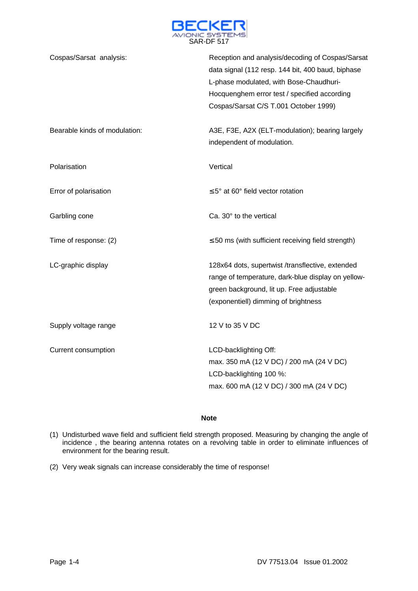

| Cospas/Sarsat analysis:       | Reception and analysis/decoding of Cospas/Sarsat<br>data signal (112 resp. 144 bit, 400 baud, biphase<br>L-phase modulated, with Bose-Chaudhuri-<br>Hocquenghem error test / specified according<br>Cospas/Sarsat C/S T.001 October 1999) |
|-------------------------------|-------------------------------------------------------------------------------------------------------------------------------------------------------------------------------------------------------------------------------------------|
| Bearable kinds of modulation: | A3E, F3E, A2X (ELT-modulation); bearing largely<br>independent of modulation.                                                                                                                                                             |
| Polarisation                  | Vertical                                                                                                                                                                                                                                  |
| Error of polarisation         | $\leq$ 5° at 60° field vector rotation                                                                                                                                                                                                    |
| Garbling cone                 | Ca. 30° to the vertical                                                                                                                                                                                                                   |
| Time of response: (2)         | $\leq$ 50 ms (with sufficient receiving field strength)                                                                                                                                                                                   |
| LC-graphic display            | 128x64 dots, supertwist /transflective, extended<br>range of temperature, dark-blue display on yellow-<br>green background, lit up. Free adjustable<br>(exponentiell) dimming of brightness                                               |
| Supply voltage range          | 12 V to 35 V DC                                                                                                                                                                                                                           |
| <b>Current consumption</b>    | LCD-backlighting Off:<br>max. 350 mA (12 V DC) / 200 mA (24 V DC)<br>LCD-backlighting 100 %:<br>max. 600 mA (12 V DC) / 300 mA (24 V DC)                                                                                                  |

#### **Note**

(1) Undisturbed wave field and sufficient field strength proposed. Measuring by changing the angle of incidence , the bearing antenna rotates on a revolving table in order to eliminate influences of environment for the bearing result.

(2) Very weak signals can increase considerably the time of response!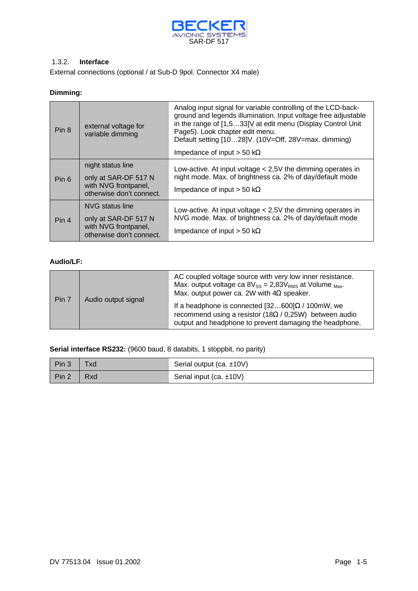

#### 1.3.2. **Interface**

External connections (optional / at Sub-D 9pol. Connector X4 male)

#### **Dimming:**

| Pin 8            | external voltage for<br>variable dimming                                                      | Analog input signal for variable controlling of the LCD-back-<br>ground and legends illumination. Input voltage free adjustable<br>in the range of [1,533]V at edit menu (Display Control Unit<br>Page5). Look chapter edit menu.<br>Default setting [1028]V. (10V=Off, 28V=max. dimming)<br>Impedance of input $>$ 50 k $\Omega$ |
|------------------|-----------------------------------------------------------------------------------------------|-----------------------------------------------------------------------------------------------------------------------------------------------------------------------------------------------------------------------------------------------------------------------------------------------------------------------------------|
| Pin 6            | night status line<br>only at SAR-DF 517 N<br>with NVG frontpanel,<br>otherwise don't connect. | Low-active. At input voltage $< 2.5V$ the dimming operates in<br>night mode. Max. of brightness ca. 2% of day/default mode<br>Impedance of input $>$ 50 k $\Omega$                                                                                                                                                                |
| Pin <sub>4</sub> | NVG status line<br>only at SAR-DF 517 N<br>with NVG frontpanel,<br>otherwise don't connect.   | Low-active. At input voltage $< 2.5V$ the dimming operates in<br>NVG mode. Max. of brightness ca. 2% of day/default mode<br>Impedance of input $>$ 50 k $\Omega$                                                                                                                                                                  |

#### **Audio/LF:**

| Pin 7<br>Audio output signal | AC coupled voltage source with very low inner resistance.<br>Max. output voltage ca $8V_{SS} = 2.83V_{RMS}$ at Volume <sub>Max</sub> .<br>Max. output power ca. 2W with $4\Omega$ speaker. |                                                                                                                                                                                      |
|------------------------------|--------------------------------------------------------------------------------------------------------------------------------------------------------------------------------------------|--------------------------------------------------------------------------------------------------------------------------------------------------------------------------------------|
|                              |                                                                                                                                                                                            | If a headphone is connected $[32600]\Omega / 100mW$ , we<br>recommend using a resistor $(18\Omega / 0.25W)$ between audio<br>output and headphone to prevent damaging the headphone. |

#### **Serial interface RS232:** (9600 baud, 8 databits, 1 stoppbit, no parity)

| Pin <sub>3</sub> | Fxd        | Serial output (ca. $\pm 10V$ ) |
|------------------|------------|--------------------------------|
| Pin 2            | <b>Rxd</b> | Serial input (ca. $\pm 10V$ )  |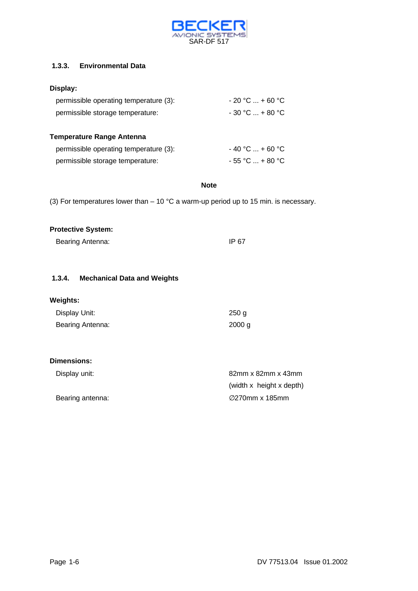

#### **1.3.3. Environmental Data**

| Display:                               |                   |
|----------------------------------------|-------------------|
| permissible operating temperature (3): | $-20$ °C  + 60 °C |
| permissible storage temperature:       | $-30$ °C $+80$ °C |
|                                        |                   |
| <b>Temperature Range Antenna</b>       |                   |
| permissible operating temperature (3): | $-40 °C  + 60 °C$ |
| permissible storage temperature:       | $-55 °C  + 80 °C$ |
|                                        |                   |

#### **Note**

(3) For temperatures lower than  $-10$  °C a warm-up period up to 15 min. is necessary.

#### **Protective System:**

| Bearing Antenna: | IP 67 |
|------------------|-------|
|                  |       |

#### **1.3.4. Mechanical Data and Weights**

#### **Weights:**

| Display Unit:    | 250 <sub>g</sub> |
|------------------|------------------|
| Bearing Antenna: | 2000 g           |

#### **Dimensions:**

| Display unit:    | 82mm x 82mm x 43mm          |
|------------------|-----------------------------|
|                  | (width x height x depth)    |
| Bearing antenna: | $\varnothing$ 270mm x 185mm |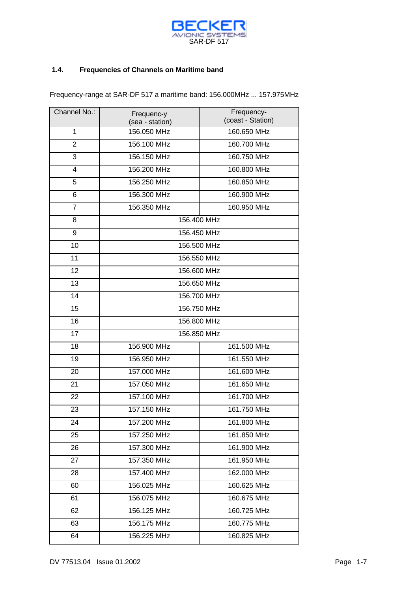

#### **1.4. Frequencies of Channels on Maritime band**

Frequency-range at SAR-DF 517 a maritime band: 156.000MHz ... 157.975MHz

| Channel No.:   | Frequenc-y<br>(sea - station) | Frequency-<br>(coast - Station) |  |
|----------------|-------------------------------|---------------------------------|--|
| $\mathbf{1}$   | 156.050 MHz                   | 160.650 MHz                     |  |
| $\overline{2}$ | 156.100 MHz                   | 160.700 MHz                     |  |
| 3              | 156.150 MHz                   | 160.750 MHz                     |  |
| $\overline{4}$ | 156.200 MHz                   | 160.800 MHz                     |  |
| 5              | 156.250 MHz                   | 160.850 MHz                     |  |
| 6              | 156.300 MHz                   | 160.900 MHz                     |  |
| $\overline{7}$ | 156.350 MHz                   | 160.950 MHz                     |  |
| 8              | 156.400 MHz                   |                                 |  |
| 9              |                               | 156.450 MHz                     |  |
| 10             |                               | 156.500 MHz                     |  |
| 11             |                               | 156.550 MHz                     |  |
| 12             |                               | 156.600 MHz                     |  |
| 13             |                               | 156.650 MHz                     |  |
| 14             |                               | 156.700 MHz                     |  |
| 15             |                               | 156.750 MHz                     |  |
| 16             | 156.800 MHz                   |                                 |  |
| 17             | 156.850 MHz                   |                                 |  |
| 18             | 156.900 MHz                   | 161.500 MHz                     |  |
| 19             | 156.950 MHz                   | 161.550 MHz                     |  |
| 20             | 157.000 MHz                   | 161.600 MHz                     |  |
| 21             | 157.050 MHz                   | 161.650 MHz                     |  |
| 22             | 157.100 MHz                   | 161.700 MHz                     |  |
| 23             | 157.150 MHz                   | 161.750 MHz                     |  |
| 24             | 157.200 MHz                   | 161.800 MHz                     |  |
| 25             | 157.250 MHz                   | 161.850 MHz                     |  |
| 26             | 157.300 MHz                   | 161.900 MHz                     |  |
| 27             | 157.350 MHz                   | 161.950 MHz                     |  |
| 28             | 157.400 MHz                   | 162.000 MHz                     |  |
| 60             | 156.025 MHz                   | 160.625 MHz                     |  |
| 61             | 156.075 MHz                   | 160.675 MHz                     |  |
| 62             | 156.125 MHz                   | 160.725 MHz                     |  |
| 63             | 156.175 MHz                   | 160.775 MHz                     |  |
| 64             | 156.225 MHz                   | 160.825 MHz                     |  |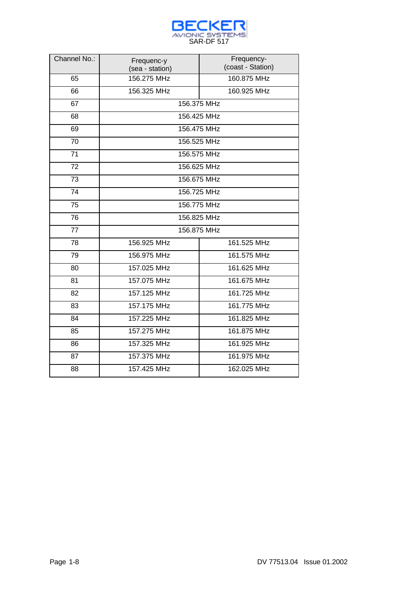

| Channel No.: | Frequenc-y<br>(sea - station) | Frequency-<br>(coast - Station) |  |
|--------------|-------------------------------|---------------------------------|--|
| 65           | 156.275 MHz                   | 160.875 MHz                     |  |
| 66           | 156.325 MHz                   | 160.925 MHz                     |  |
| 67           |                               | 156.375 MHz                     |  |
| 68           |                               | 156.425 MHz                     |  |
| 69           |                               | 156.475 MHz                     |  |
| 70           |                               | 156.525 MHz                     |  |
| 71           |                               | 156.575 MHz                     |  |
| 72           |                               | 156.625 MHz                     |  |
| 73           |                               | 156.675 MHz                     |  |
| 74           |                               | 156.725 MHz                     |  |
| 75           | 156.775 MHz                   |                                 |  |
| 76           | 156.825 MHz                   |                                 |  |
| 77           |                               | 156.875 MHz                     |  |
| 78           | 156.925 MHz                   | 161.525 MHz                     |  |
| 79           | 156.975 MHz                   | 161.575 MHz                     |  |
| 80           | 157.025 MHz                   | 161.625 MHz                     |  |
| 81           | 157.075 MHz                   | 161.675 MHz                     |  |
| 82           | 157.125 MHz                   | 161.725 MHz                     |  |
| 83           | 157.175 MHz                   | 161.775 MHz                     |  |
| 84           | 157.225 MHz                   | 161.825 MHz                     |  |
| 85           | 157.275 MHz                   | 161.875 MHz                     |  |
| 86           | 157.325 MHz                   | 161.925 MHz                     |  |
| 87           | 157.375 MHz                   | 161.975 MHz                     |  |
| 88           | 157.425 MHz                   | 162.025 MHz                     |  |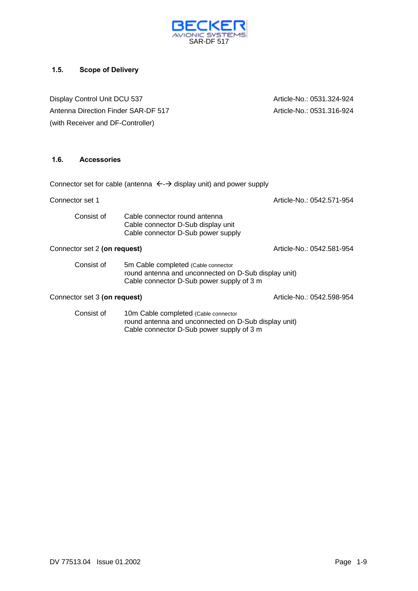

#### **1.5. Scope of Delivery**

Display Control Unit DCU 537 Article-No.: 0531.324-924 Antenna Direction Finder SAR-DF 517 Article-No.: 0531.316-924 (with Receiver and DF-Controller)

#### **1.6. Accessories**

Connector set for cable (antenna  $\leftarrow \rightarrow$  display unit) and power supply Connector set 1 Article-No.: 0542.571-954 Consist of Cable connector round antenna Cable connector D-Sub display unit Cable connector D-Sub power supply Connector set 2 (on request) and a set of the Article-No.: 0542.581-954 Consist of 5m Cable completed (Cable connector round antenna and unconnected on D-Sub display unit) Cable connector D-Sub power supply of 3 m **Connector set 3 (on request)**  $\qquad \qquad$  Article-No.: 0542.598-954 Consist of 10m Cable completed (Cable connector

round antenna and unconnected on D-Sub display unit)

Cable connector D-Sub power supply of 3 m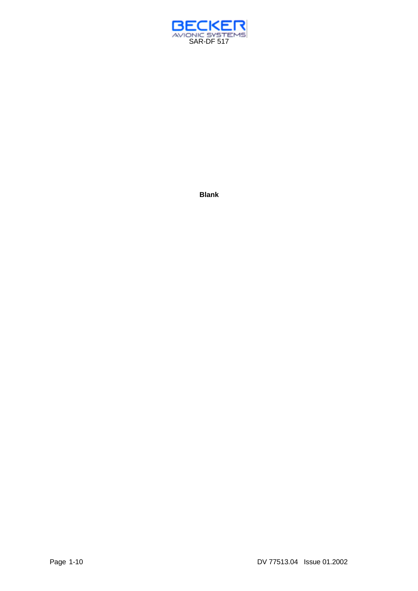

**Blank**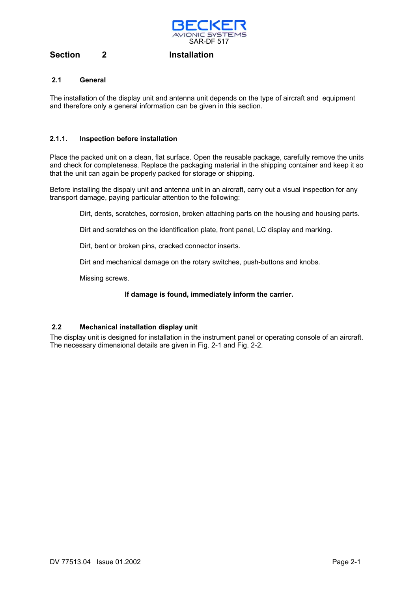

#### **Section 2 Installation**

#### **2.1 General**

The installation of the display unit and antenna unit depends on the type of aircraft and equipment and therefore only a general information can be given in this section.

#### **2.1.1. Inspection before installation**

Place the packed unit on a clean, flat surface. Open the reusable package, carefully remove the units and check for completeness. Replace the packaging material in the shipping container and keep it so that the unit can again be properly packed for storage or shipping.

Before installing the dispaly unit and antenna unit in an aircraft, carry out a visual inspection for any transport damage, paying particular attention to the following:

Dirt, dents, scratches, corrosion, broken attaching parts on the housing and housing parts.

Dirt and scratches on the identification plate, front panel, LC display and marking.

Dirt, bent or broken pins, cracked connector inserts.

Dirt and mechanical damage on the rotary switches, push-buttons and knobs.

Missing screws.

#### **If damage is found, immediately inform the carrier.**

#### **2.2 Mechanical installation display unit**

The display unit is designed for installation in the instrument panel or operating console of an aircraft. The necessary dimensional details are given in Fig. 2-1 and Fig. 2-2.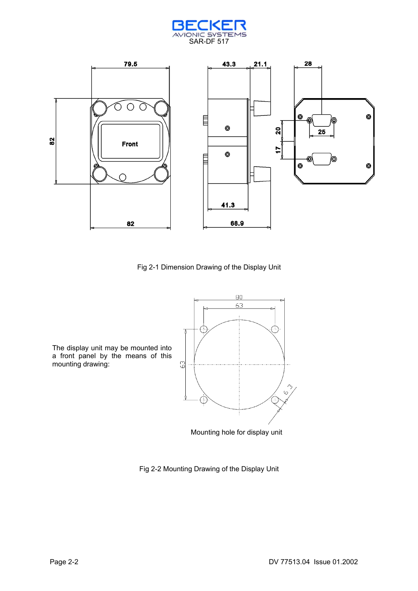



Fig 2-1 Dimension Drawing of the Display Unit



The display unit may be mounted into a front panel by the means of this mounting drawing:

Mounting hole for display unit

Fig 2-2 Mounting Drawing of the Display Unit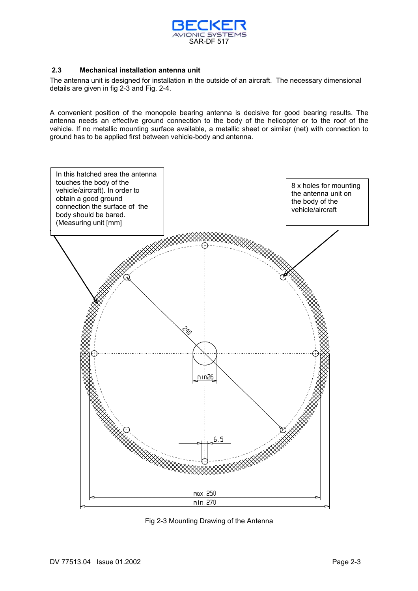

#### **2.3 Mechanical installation antenna unit**

The antenna unit is designed for installation in the outside of an aircraft. The necessary dimensional details are given in fig 2-3 and Fig. 2-4.

A convenient position of the monopole bearing antenna is decisive for good bearing results. The antenna needs an effective ground connection to the body of the helicopter or to the roof of the vehicle. If no metallic mounting surface available, a metallic sheet or similar (net) with connection to ground has to be applied first between vehicle-body and antenna.



Fig 2-3 Mounting Drawing of the Antenna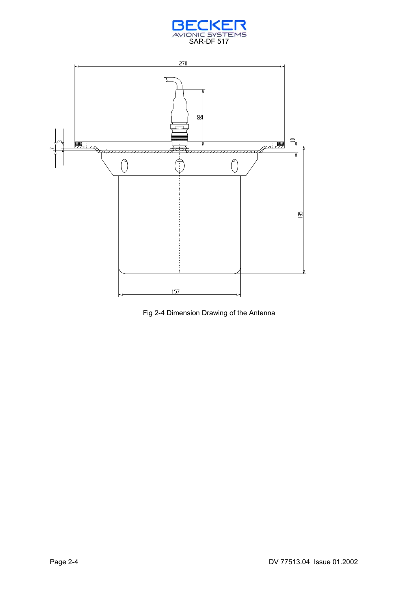



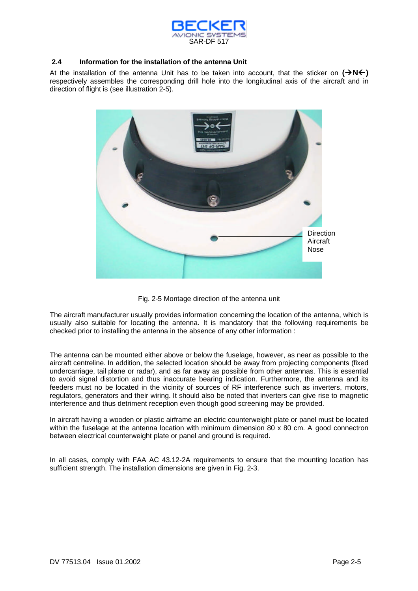

#### **2.4 Information for the installation of the antenna Unit**

At the installation of the antenna Unit has to be taken into account, that the sticker on  $(\rightarrow N \leftarrow)$ respectively assembles the corresponding drill hole into the longitudinal axis of the aircraft and in direction of flight is (see illustration 2-5).



Fig. 2-5 Montage direction of the antenna unit

The aircraft manufacturer usually provides information concerning the location of the antenna, which is usually also suitable for locating the antenna. It is mandatory that the following requirements be checked prior to installing the antenna in the absence of any other information :

The antenna can be mounted either above or below the fuselage, however, as near as possible to the aircraft centreline. In addition, the selected location should be away from projecting components (fixed undercarriage, tail plane or radar), and as far away as possible from other antennas. This is essential to avoid signal distortion and thus inaccurate bearing indication. Furthermore, the antenna and its feeders must no be located in the vicinity of sources of RF interference such as inverters, motors, regulators, generators and their wiring. It should also be noted that inverters can give rise to magnetic interference and thus detriment reception even though good screening may be provided.

In aircraft having a wooden or plastic airframe an electric counterweight plate or panel must be located within the fuselage at the antenna location with minimum dimension 80 x 80 cm. A good connectron between electrical counterweight plate or panel and ground is required.

In all cases, comply with FAA AC 43.12-2A requirements to ensure that the mounting location has sufficient strength. The installation dimensions are given in Fig. 2-3.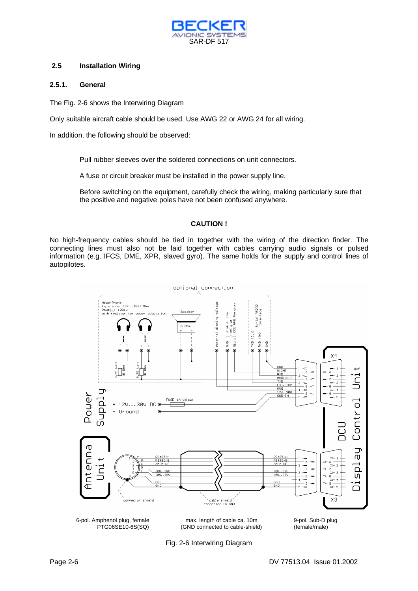

#### **2.5 Installation Wiring**

#### **2.5.1. General**

The Fig. 2-6 shows the Interwiring Diagram

Only suitable aircraft cable should be used. Use AWG 22 or AWG 24 for all wiring.

In addition, the following should be observed:

Pull rubber sleeves over the soldered connections on unit connectors.

A fuse or circuit breaker must be installed in the power supply line.

Before switching on the equipment, carefully check the wiring, making particularly sure that the positive and negative poles have not been confused anywhere.

#### **CAUTION !**

No high-frequency cables should be tied in together with the wiring of the direction finder. The connecting lines must also not be laid together with cables carrying audio signals or pulsed information (e.g. IFCS, DME, XPR, slaved gyro). The same holds for the supply and control lines of autopilotes.



Fig. 2-6 Interwiring Diagram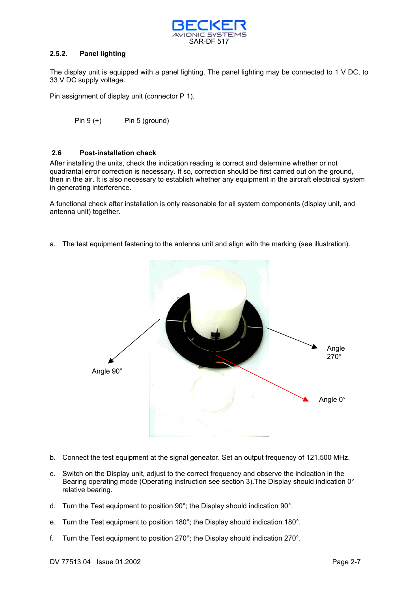

#### **2.5.2. Panel lighting**

The display unit is equipped with a panel lighting. The panel lighting may be connected to 1 V DC, to 33 V DC supply voltage.

Pin assignment of display unit (connector P 1).

Pin 9 (+) Pin 5 (ground)

#### **2.6 Post-installation check**

After installing the units, check the indication reading is correct and determine whether or not quadrantal error correction is necessary. If so, correction should be first carried out on the ground, then in the air. It is also necessary to establish whether any equipment in the aircraft electrical system in generating interference.

A functional check after installation is only reasonable for all system components (display unit, and antenna unit) together.

a. The test equipment fastening to the antenna unit and align with the marking (see illustration).



- b. Connect the test equipment at the signal geneator. Set an output frequency of 121.500 MHz.
- c. Switch on the Display unit, adjust to the correct frequency and observe the indication in the Bearing operating mode (Operating instruction see section 3). The Display should indication 0° relative bearing.
- d. Turn the Test equipment to position 90°; the Display should indication 90°.
- e. Turn the Test equipment to position 180°; the Display should indication 180°.
- f. Turn the Test equipment to position 270°; the Display should indication 270°.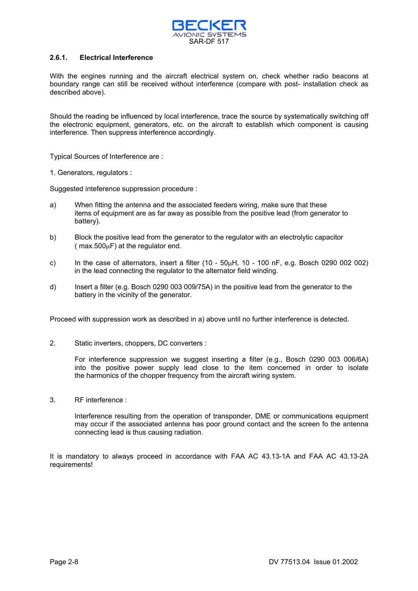

#### **2.6.1. Electrical Interference**

With the engines running and the aircraft electrical system on, check whether radio beacons at boundary range can still be received without interference (compare with post- installation check as described above).

Should the reading be influenced by local interference, trace the source by systematically switching off the electronic equipment, generators, etc. on the aircraft to establish which component is causing interference. Then suppress interference accordingly.

Typical Sources of Interference are :

1. Generators, regulators :

Suggested inteference suppression procedure :

- a) When fitting the antenna and the associated feeders wiring, make sure that these items of equipment are as far away as possible from the positive lead (from generator to battery).
- b) Block the positive lead from the generator to the regulator with an electrolytic capacitor ( max.500µF) at the regulator end.
- c) In the case of alternators, insert a filter (10  $50\mu$ H, 10 100 nF, e.g. Bosch 0290 002 002) in the lead connecting the regulator to the alternator field winding.
- d) Insert a filter (e.g. Bosch 0290 003 009/75A) in the positive lead from the generator to the battery in the vicinity of the generator.

Proceed with suppression work as described in a) above until no further interference is detected.

2. Static inverters, choppers, DC converters :

For interference suppression we suggest inserting a filter (e.g., Bosch 0290 003 006/6A) into the positive power supply lead close to the item concerned in order to isolate the harmonics of the chopper frequency from the aircraft wiring system.

3. RF interference :

Interference resulting from the operation of transponder, DME or communications equipment may occur if the associated antenna has poor ground contact and the screen fo the antenna connecting lead is thus causing radiation.

It is mandatory to always proceed in accordance with FAA AC 43.13-1A and FAA AC 43.13-2A requirements!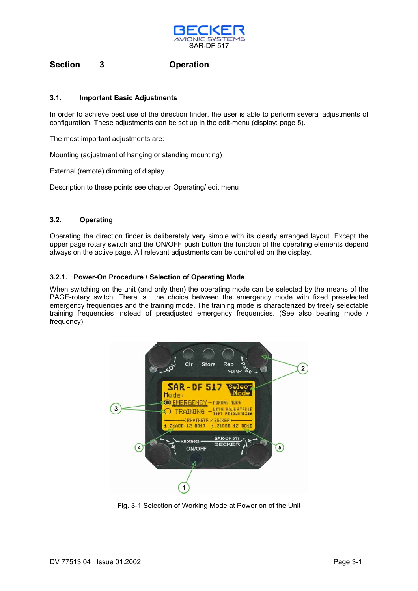

#### **Section 3 Operation**

#### **3.1. Important Basic Adjustments**

In order to achieve best use of the direction finder, the user is able to perform several adjustments of configuration. These adjustments can be set up in the edit-menu (display: page 5).

The most important adjustments are:

Mounting (adjustment of hanging or standing mounting)

External (remote) dimming of display

Description to these points see chapter Operating/ edit menu

#### **3.2. Operating**

Operating the direction finder is deliberately very simple with its clearly arranged layout. Except the upper page rotary switch and the ON/OFF push button the function of the operating elements depend always on the active page. All relevant adjustments can be controlled on the display.

#### **3.2.1. Power-On Procedure / Selection of Operating Mode**

When switching on the unit (and only then) the operating mode can be selected by the means of the PAGE-rotary switch. There is the choice between the emergency mode with fixed preselected emergency frequencies and the training mode. The training mode is characterized by freely selectable training frequencies instead of preadjusted emergency frequencies. (See also bearing mode / frequency).



Fig. 3-1 Selection of Working Mode at Power on of the Unit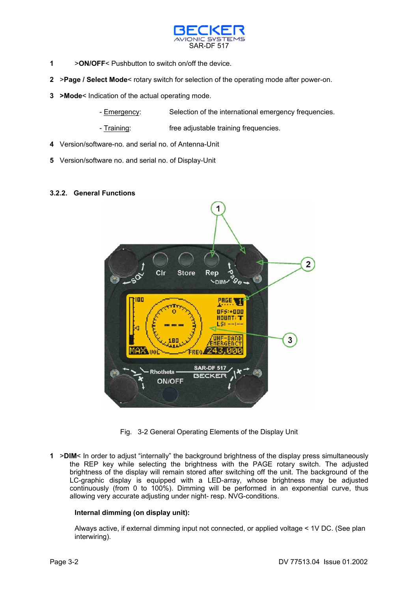

- **1** >**ON/OFF**< Pushbutton to switch on/off the device.
- **2** > **Page** / **Select Mode** < rotary switch for selection of the operating mode after power-on.
- **3 >Mode**< Indication of the actual operating mode.
	- Emergency: Selection of the international emergency frequencies.

- Training: **free adiustable training frequencies.** 

- **4** Version/software-no. and serial no. of Antenna-Unit
- **5** Version/software no. and serial no. of Display-Unit

#### **3.2.2. General Functions**



Fig. 3-2 General Operating Elements of the Display Unit

**1** >**DIM**< In order to adjust "internally" the background brightness of the display press simultaneously the REP key while selecting the brightness with the PAGE rotary switch. The adjusted brightness of the display will remain stored after switching off the unit. The background of the LC-graphic display is equipped with a LED-array, whose brightness may be adjusted continuously (from 0 to 100%). Dimming will be performed in an exponential curve, thus allowing very accurate adjusting under night- resp. NVG-conditions.

#### **Internal dimming (on display unit):**

Always active, if external dimming input not connected, or applied voltage < 1V DC. (See plan interwiring).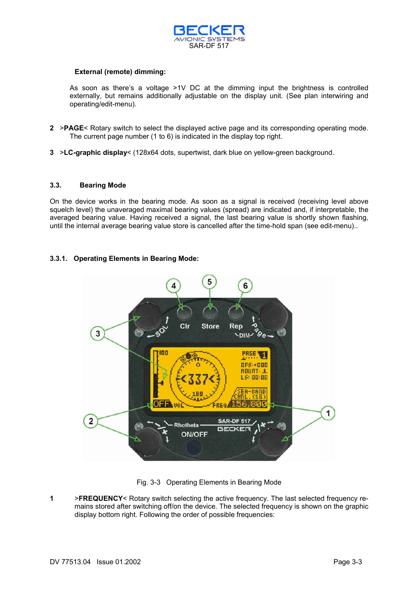

#### **External (remote) dimming:**

As soon as there's a voltage >1V DC at the dimming input the brightness is controlled externally, but remains additionally adjustable on the display unit. (See plan interwiring and operating/edit-menu).

- **2** >**PAGE**< Rotary switch to select the displayed active page and its corresponding operating mode. The current page number (1 to 6) is indicated in the display top right.
- **3** >**LC-graphic display**< (128x64 dots, supertwist, dark blue on yellow-green background.

#### **3.3. Bearing Mode**

On the device works in the bearing mode. As soon as a signal is received (receiving level above squelch level) the unaveraged maximal bearing values (spread) are indicated and, if interpretable, the averaged bearing value. Having received a signal, the last bearing value is shortly shown flashing, until the internal average bearing value store is cancelled after the time-hold span (see edit-menu)..

#### **3.3.1. Operating Elements in Bearing Mode:**



Fig. 3-3 Operating Elements in Bearing Mode

**1** >**FREQUENCY**< Rotary switch selecting the active frequency. The last selected frequency remains stored after switching off/on the device. The selected frequency is shown on the graphic display bottom right. Following the order of possible frequencies: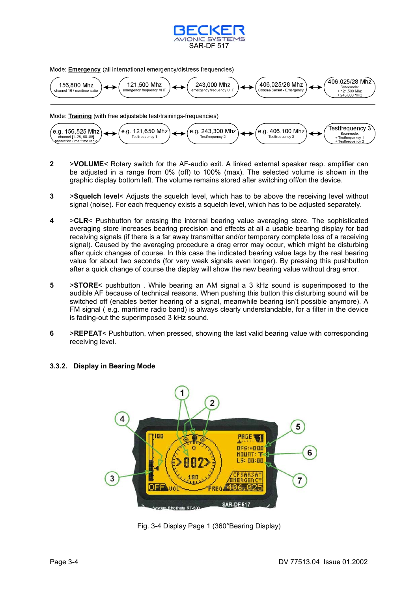

Mode: Emergency (all international emergency/distress frequencies)



Mode: Training (with free adjustable test/trainings-frequencies)



- **2** >**VOLUME**< Rotary switch for the AF-audio exit. A linked external speaker resp. amplifier can be adjusted in a range from 0% (off) to 100% (max). The selected volume is shown in the graphic display bottom left. The volume remains stored after switching off/on the device.
- **3** >**Squelch level**< Adjusts the squelch level, which has to be above the receiving level without signal (noise). For each frequency exists a squelch level, which has to be adjusted separately.
- **4** >**CLR**< Pushbutton for erasing the internal bearing value averaging store. The sophisticated averaging store increases bearing precision and effects at all a usable bearing display for bad receiving signals (if there is a far away transmitter and/or temporary complete loss of a receiving signal). Caused by the averaging procedure a drag error may occur, which might be disturbing after quick changes of course. In this case the indicated bearing value lags by the real bearing value for about two seconds (for very weak signals even longer). By pressing this pushbutton after a quick change of course the display will show the new bearing value without drag error.
- **5** >**STORE**< pushbutton . While bearing an AM signal a 3 kHz sound is superimposed to the audible AF because of technical reasons. When pushing this button this disturbing sound will be switched off (enables better hearing of a signal, meanwhile bearing isn't possible anymore). A FM signal ( e.g. maritime radio band) is always clearly understandable, for a filter in the device is fading-out the superimposed 3 kHz sound.
- **6** >**REPEAT**< Pushbutton, when pressed, showing the last valid bearing value with corresponding receiving level.



**3.3.2. Display in Bearing Mode**

Fig. 3-4 Display Page 1 (360°Bearing Display)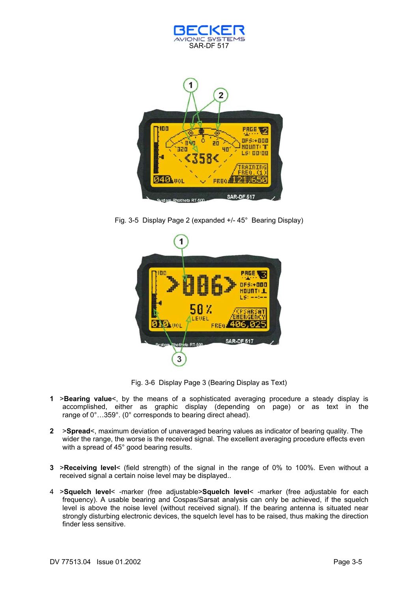



Fig. 3-5 Display Page 2 (expanded +/- 45° Bearing Display)



Fig. 3-6 Display Page 3 (Bearing Display as Text)

- **1** >**Bearing value**<, by the means of a sophisticated averaging procedure a steady display is accomplished, either as graphic display (depending on page) or as text in the range of 0°…359°. (0° corresponds to bearing direct ahead).
- **2** >**Spread**<, maximum deviation of unaveraged bearing values as indicator of bearing quality. The wider the range, the worse is the received signal. The excellent averaging procedure effects even with a spread of 45° good bearing results.
- **3** >**Receiving level**< (field strength) of the signal in the range of 0% to 100%. Even without a received signal a certain noise level may be displayed..
- 4 >**Squelch level**< -marker (free adjustable>**Squelch level**< -marker (free adjustable for each frequency). A usable bearing and Cospas/Sarsat analysis can only be achieved, if the squelch level is above the noise level (without received signal). If the bearing antenna is situated near strongly disturbing electronic devices, the squelch level has to be raised, thus making the direction finder less sensitive.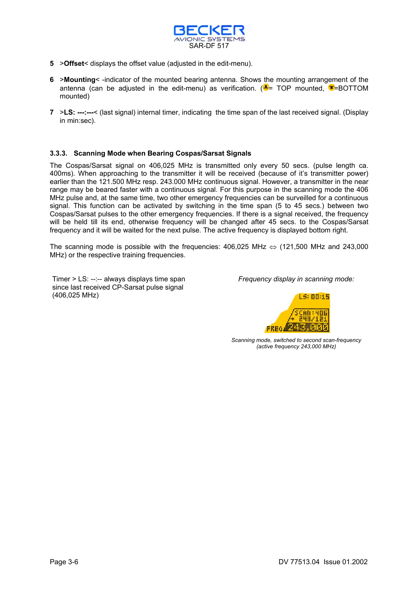

- **5** >**Offset**< displays the offset value (adjusted in the edit-menu).
- **6** >**Mounting**< -indicator of the mounted bearing antenna. Shows the mounting arrangement of the antenna (can be adjusted in the edit-menu) as verification. ( $\triangle$ = TOP mounted,  $\triangle$ =BOTTOM mounted)
- **7** >**LS: ---:---**< (last signal) internal timer, indicating the time span of the last received signal. (Display in min:sec).

#### **3.3.3. Scanning Mode when Bearing Cospas/Sarsat Signals**

The Cospas/Sarsat signal on 406,025 MHz is transmitted only every 50 secs. (pulse length ca. 400ms). When approaching to the transmitter it will be received (because of it's transmitter power) earlier than the 121.500 MHz resp. 243.000 MHz continuous signal. However, a transmitter in the near range may be beared faster with a continuous signal. For this purpose in the scanning mode the 406 MHz pulse and, at the same time, two other emergency frequencies can be surveilled for a continuous signal. This function can be activated by switching in the time span (5 to 45 secs.) between two Cospas/Sarsat pulses to the other emergency frequencies. If there is a signal received, the frequency will be held till its end, otherwise frequency will be changed after 45 secs. to the Cospas/Sarsat frequency and it will be waited for the next pulse. The active frequency is displayed bottom right.

The scanning mode is possible with the frequencies: 406,025 MHz  $\Leftrightarrow$  (121,500 MHz and 243,000 MHz) or the respective training frequencies.

Timer > LS: --:-- always displays time span since last received CP-Sarsat pulse signal (406,025 MHz)

*Frequency display in scanning mode:*



*Scanning mode, switched to second scan-frequency (active frequency 243,000 MHz)*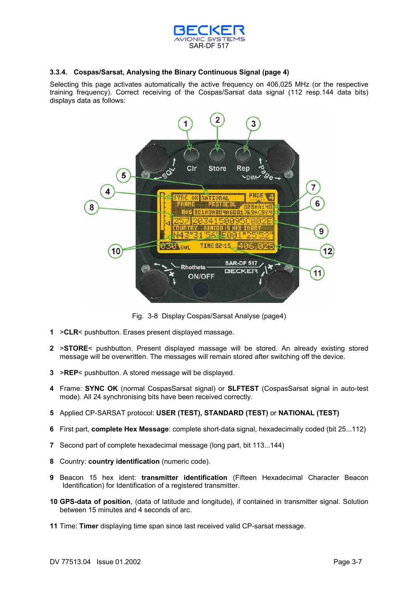

#### **3.3.4. Cospas/Sarsat, Analysing the Binary Continuous Signal (page 4)**

Selecting this page activates automatically the active frequency on 406,025 MHz (or the respective training frequency). Correct receiving of the Cospas/Sarsat data signal (112 resp.144 data bits) displays data as follows:



Fig. 3-8 Display Cospas/Sarsat Analyse (page4)

- **1** >**CLR**< pushbutton. Erases present displayed massage.
- **2** >**STORE**< pushbutton. Present displayed massage will be stored. An already existing stored message will be overwritten. The messages will remain stored after switching off the device.
- **3** >**REP**< pushbutton. A stored message will be displayed.
- **4** Frame: **SYNC OK** (normal CospasSarsat signal) or **SLFTEST** (CospasSarsat signal in auto-test mode). All 24 synchronising bits have been received correctly.
- **5** Applied CP-SARSAT protocol: **USER (TEST), STANDARD (TEST)** or **NATIONAL (TEST)**
- **6** First part, **complete Hex Message**: complete short-data signal, hexadecimally coded (bit 25...112)
- **7** Second part of complete hexadecimal message (long part, bit 113...144)
- **8** Country: **country identification** (numeric code).
- **9** Beacon 15 hex ident: **transmitter identification** (Fifteen Hexadecimal Character Beacon Identification) for Identification of a registered transmitter.
- **10 GPS-data of position**, (data of latitude and longitude), if contained in transmitter signal. Solution between 15 minutes and 4 seconds of arc.
- **11** Time: **Timer** displaying time span since last received valid CP-sarsat message.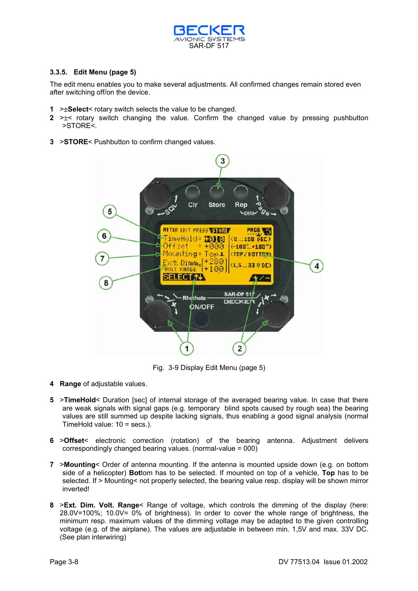

#### **3.3.5. Edit Menu (page 5)**

The edit menu enables you to make several adjustments. All confirmed changes remain stored even after switching off/on the device.

- **1** >±**Select**< rotary switch selects the value to be changed.
- **2** >±< rotary switch changing the value. Confirm the changed value by pressing pushbutton >STORE<.
- **3** >**STORE**< Pushbutton to confirm changed values.



Fig. 3-9 Display Edit Menu (page 5)

- **4 Range** of adjustable values.
- **5** >**TimeHold**< Duration [sec] of internal storage of the averaged bearing value. In case that there are weak signals with signal gaps (e.g. temporary blind spots caused by rough sea) the bearing values are still summed up despite lacking signals, thus enabling a good signal analysis (normal TimeHold value: 10 = secs.).
- **6** >**Offset**< electronic correction (rotation) of the bearing antenna. Adjustment delivers correspondingly changed bearing values. (normal-value = 000)
- **7** >**Mounting**< Order of antenna mounting. If the antenna is mounted upside down (e.g. on bottom side of a helicopter) **Bot**tom has to be selected. If mounted on top of a vehicle, **Top** has to be selected. If > Mounting< not properly selected, the bearing value resp. display will be shown mirror inverted!
- **8** >**Ext. Dim. Volt. Range**< Range of voltage, which controls the dimming of the display (here: 28.0V=100%; 10.0V= 0% of brightness). In order to cover the whole range of brightness, the minimum resp. maximum values of the dimming voltage may be adapted to the given controlling voltage (e.g. of the airplane). The values are adjustable in between min. 1,5V and max. 33V DC. (See plan interwiring)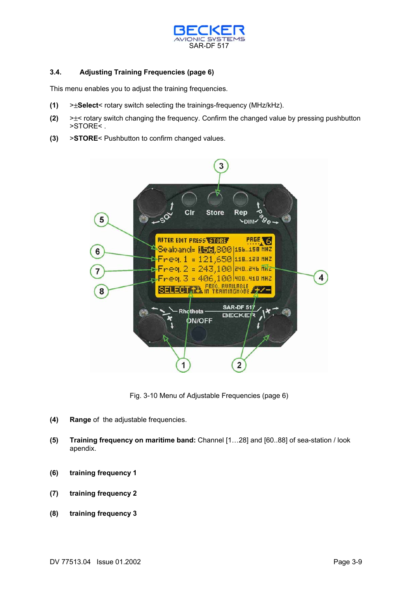

#### **3.4. Adjusting Training Frequencies (page 6)**

This menu enables you to adjust the training frequencies.

- **(1)** >±**Select**< rotary switch selecting the trainings-frequency (MHz/kHz).
- **(2)** >±< rotary switch changing the frequency. Confirm the changed value by pressing pushbutton >STORE< .
- **(3)** >**STORE**< Pushbutton to confirm changed values.



Fig. 3-10 Menu of Adjustable Frequencies (page 6)

- **(4) Range** of the adjustable frequencies.
- **(5) Training frequency on maritime band:** Channel [1…28] and [60..88] of sea-station / look apendix.
- **(6) training frequency 1**
- **(7) training frequency 2**
- **(8) training frequency 3**